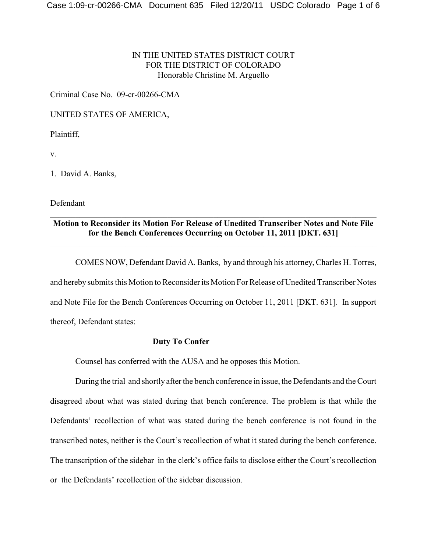## IN THE UNITED STATES DISTRICT COURT FOR THE DISTRICT OF COLORADO Honorable Christine M. Arguello

Criminal Case No. 09-cr-00266-CMA

UNITED STATES OF AMERICA,

Plaintiff,

v.

1. David A. Banks,

Defendant

# **Motion to Reconsider its Motion For Release of Unedited Transcriber Notes and Note File for the Bench Conferences Occurring on October 11, 2011 [DKT. 631]**

\_\_\_\_\_\_\_\_\_\_\_\_\_\_\_\_\_\_\_\_\_\_\_\_\_\_\_\_\_\_\_\_\_\_\_\_\_\_\_\_\_\_\_\_\_\_\_\_\_\_\_\_\_\_\_\_\_\_\_\_\_\_\_\_\_\_\_\_\_\_\_\_\_\_\_\_\_\_

\_\_\_\_\_\_\_\_\_\_\_\_\_\_\_\_\_\_\_\_\_\_\_\_\_\_\_\_\_\_\_\_\_\_\_\_\_\_\_\_\_\_\_\_\_\_\_\_\_\_\_\_\_\_\_\_\_\_\_\_\_\_\_\_\_\_\_\_\_\_\_\_\_\_\_\_\_\_

COMES NOW, Defendant David A. Banks, by and through his attorney, Charles H. Torres, and hereby submits this Motion to Reconsider its Motion For Release of Unedited Transcriber Notes and Note File for the Bench Conferences Occurring on October 11, 2011 [DKT. 631]. In support thereof, Defendant states:

### **Duty To Confer**

Counsel has conferred with the AUSA and he opposes this Motion.

During the trial and shortly after the bench conference in issue, the Defendants and the Court disagreed about what was stated during that bench conference. The problem is that while the Defendants' recollection of what was stated during the bench conference is not found in the transcribed notes, neither is the Court's recollection of what it stated during the bench conference. The transcription of the sidebar in the clerk's office fails to disclose either the Court's recollection or the Defendants' recollection of the sidebar discussion.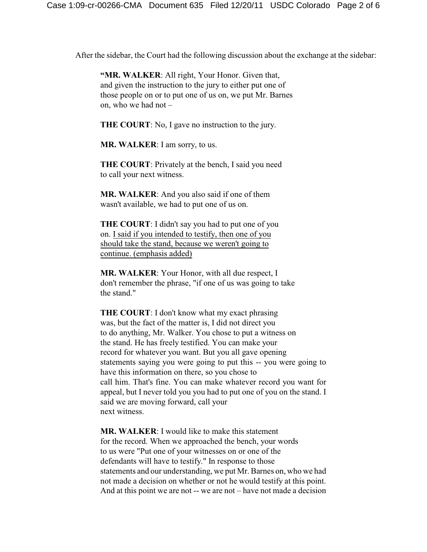After the sidebar, the Court had the following discussion about the exchange at the sidebar:

**"MR. WALKER**: All right, Your Honor. Given that, and given the instruction to the jury to either put one of those people on or to put one of us on, we put Mr. Barnes on, who we had not –

**THE COURT**: No, I gave no instruction to the jury.

**MR. WALKER**: I am sorry, to us.

**THE COURT**: Privately at the bench, I said you need to call your next witness.

**MR. WALKER**: And you also said if one of them wasn't available, we had to put one of us on.

**THE COURT**: I didn't say you had to put one of you on. I said if you intended to testify, then one of you should take the stand, because we weren't going to continue. (emphasis added)

**MR. WALKER**: Your Honor, with all due respect, I don't remember the phrase, "if one of us was going to take the stand."

**THE COURT**: I don't know what my exact phrasing was, but the fact of the matter is, I did not direct you to do anything, Mr. Walker. You chose to put a witness on the stand. He has freely testified. You can make your record for whatever you want. But you all gave opening statements saying you were going to put this -- you were going to have this information on there, so you chose to call him. That's fine. You can make whatever record you want for appeal, but I never told you you had to put one of you on the stand. I said we are moving forward, call your next witness.

**MR. WALKER**: I would like to make this statement for the record. When we approached the bench, your words to us were "Put one of your witnesses on or one of the defendants will have to testify." In response to those statements and our understanding, we put Mr. Barnes on, who we had not made a decision on whether or not he would testify at this point. And at this point we are not -- we are not – have not made a decision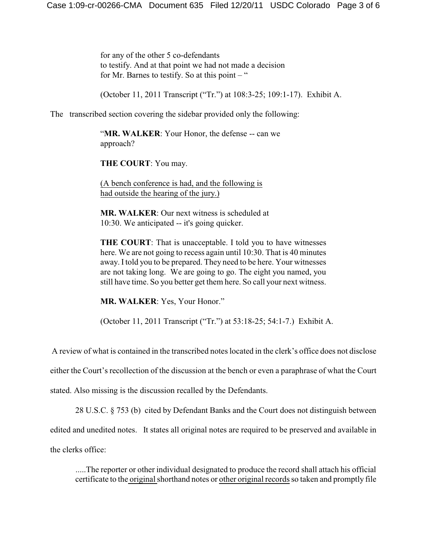for any of the other 5 co-defendants to testify. And at that point we had not made a decision for Mr. Barnes to testify. So at this point  $-$  "

(October 11, 2011 Transcript ("Tr.") at 108:3-25; 109:1-17). Exhibit A.

### The transcribed section covering the sidebar provided only the following:

"MR. WALKER: Your Honor, the defense -- can we approach?

**THE COURT**: You may.

(A bench conference is had, and the following is had outside the hearing of the jury.)

**MR. WALKER**: Our next witness is scheduled at 10:30. We anticipated -- it's going quicker.

**THE COURT**: That is unacceptable. I told you to have witnesses here. We are not going to recess again until 10:30. That is 40 minutes away. I told you to be prepared. They need to be here. Your witnesses are not taking long. We are going to go. The eight you named, you still have time. So you better get them here. So call your next witness.

**MR. WALKER**: Yes, Your Honor."

(October 11, 2011 Transcript ("Tr.") at 53:18-25; 54:1-7.) Exhibit A.

A review of what is contained in the transcribed notes located in the clerk's office does not disclose

either the Court's recollection of the discussion at the bench or even a paraphrase of what the Court

stated. Also missing is the discussion recalled by the Defendants.

28 U.S.C. § 753 (b) cited by Defendant Banks and the Court does not distinguish between

edited and unedited notes. It states all original notes are required to be preserved and available in

the clerks office:

.....The reporter or other individual designated to produce the record shall attach his official certificate to the original shorthand notes or other original records so taken and promptly file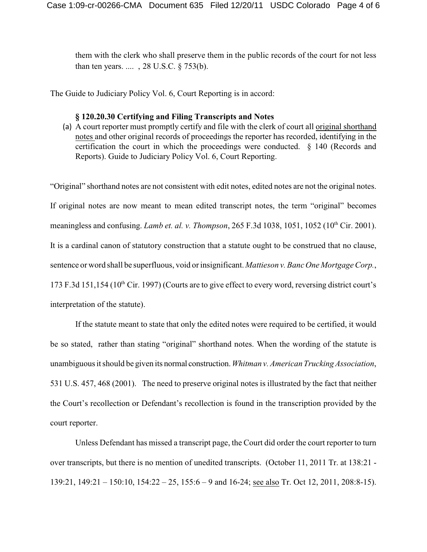them with the clerk who shall preserve them in the public records of the court for not less than ten years. .... , 28 U.S.C. § 753(b).

The Guide to Judiciary Policy Vol. 6, Court Reporting is in accord:

#### **§ 120.20.30 Certifying and Filing Transcripts and Notes**

(a) A court reporter must promptly certify and file with the clerk of court all original shorthand notes and other original records of proceedings the reporter has recorded, identifying in the certification the court in which the proceedings were conducted. § 140 (Records and Reports). Guide to Judiciary Policy Vol. 6, Court Reporting.

"Original" shorthand notes are not consistent with edit notes, edited notes are not the original notes. If original notes are now meant to mean edited transcript notes, the term "original" becomes meaningless and confusing. *Lamb et. al. v. Thompson*, 265 F.3d 1038, 1051, 1052 (10<sup>th</sup> Cir. 2001). It is a cardinal canon of statutory construction that a statute ought to be construed that no clause, sentence or word shall be superfluous, void or insignificant. *Mattieson v. Banc One Mortgage Corp.*, 173 F.3d 151,154 ( $10<sup>th</sup>$  Cir. 1997) (Courts are to give effect to every word, reversing district court's interpretation of the statute).

If the statute meant to state that only the edited notes were required to be certified, it would be so stated, rather than stating "original" shorthand notes. When the wording of the statute is unambiguous it should be given its normal construction. *Whitman v. American Trucking Association*, 531 U.S. 457, 468 (2001). The need to preserve original notes is illustrated by the fact that neither the Court's recollection or Defendant's recollection is found in the transcription provided by the court reporter.

Unless Defendant has missed a transcript page, the Court did order the court reporter to turn over transcripts, but there is no mention of unedited transcripts. (October 11, 2011 Tr. at 138:21 - 139:21, 149:21 – 150:10, 154:22 – 25, 155:6 – 9 and 16-24; see also Tr. Oct 12, 2011, 208:8-15).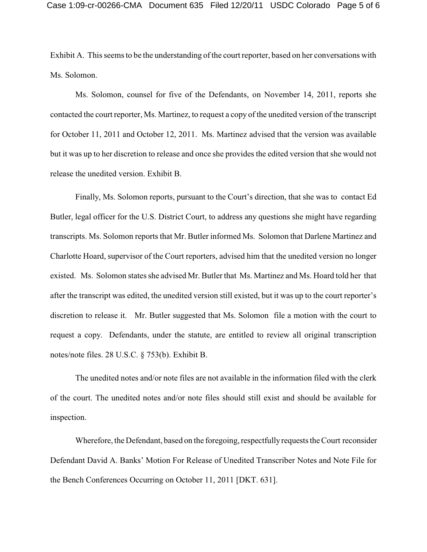Exhibit A. This seems to be the understanding of the court reporter, based on her conversations with Ms. Solomon.

Ms. Solomon, counsel for five of the Defendants, on November 14, 2011, reports she contacted the court reporter, Ms. Martinez, to request a copy of the unedited version of the transcript for October 11, 2011 and October 12, 2011. Ms. Martinez advised that the version was available but it was up to her discretion to release and once she provides the edited version that she would not release the unedited version. Exhibit B.

Finally, Ms. Solomon reports, pursuant to the Court's direction, that she was to contact Ed Butler, legal officer for the U.S. District Court, to address any questions she might have regarding transcripts. Ms. Solomon reports that Mr. Butler informed Ms. Solomon that Darlene Martinez and Charlotte Hoard, supervisor of the Court reporters, advised him that the unedited version no longer existed. Ms. Solomon states she advised Mr. Butler that Ms. Martinez and Ms. Hoard told her that after the transcript was edited, the unedited version still existed, but it was up to the court reporter's discretion to release it. Mr. Butler suggested that Ms. Solomon file a motion with the court to request a copy. Defendants, under the statute, are entitled to review all original transcription notes/note files. 28 U.S.C. § 753(b). Exhibit B.

The unedited notes and/or note files are not available in the information filed with the clerk of the court. The unedited notes and/or note files should still exist and should be available for inspection.

Wherefore, the Defendant, based on the foregoing, respectfullyrequests the Court reconsider Defendant David A. Banks' Motion For Release of Unedited Transcriber Notes and Note File for the Bench Conferences Occurring on October 11, 2011 [DKT. 631].